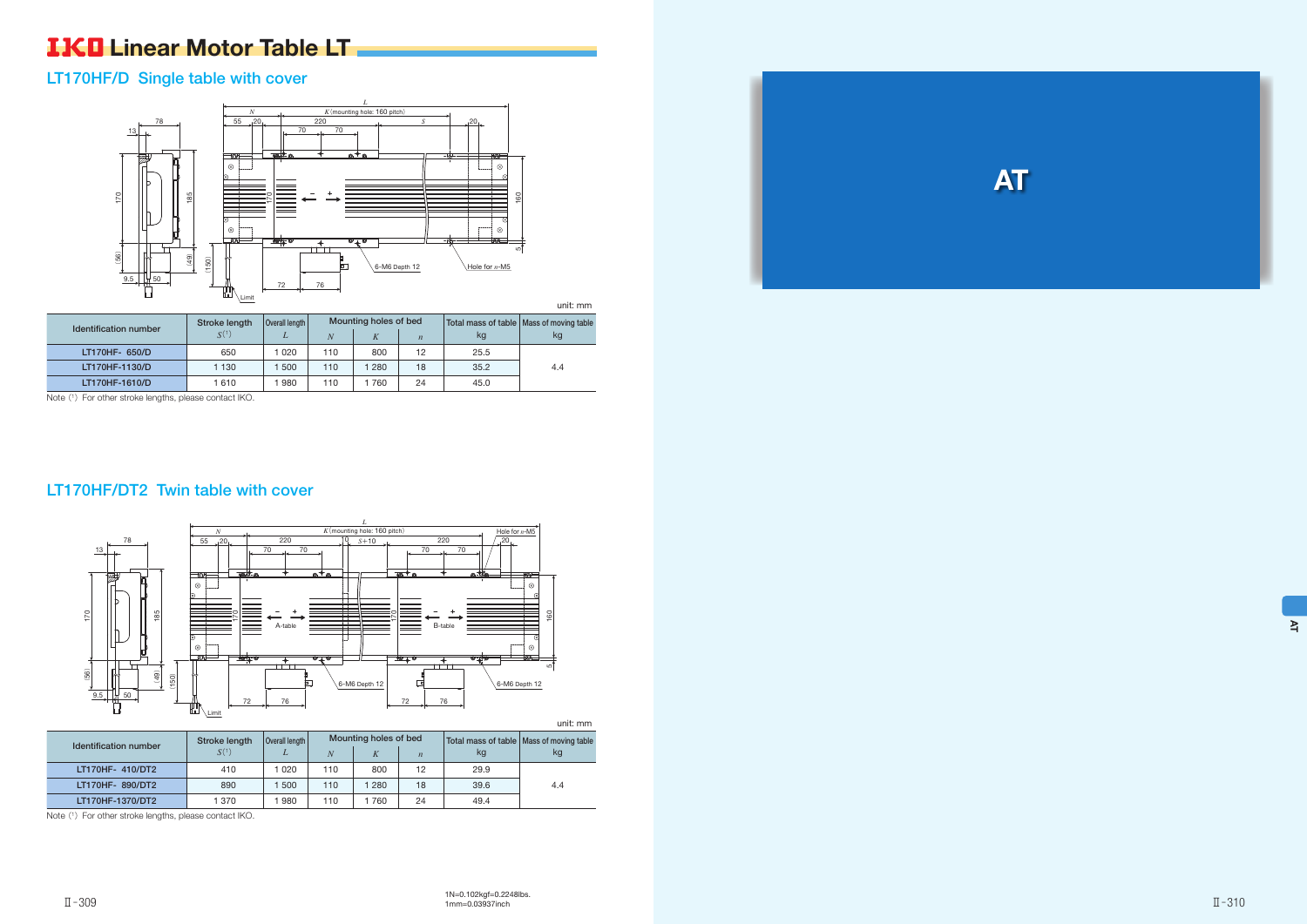

## **IKO** Linear Motor Table LT

## LT170HF/D Single table with cover

unit: mm

| Identification number | Stroke length    | Mounting holes of bed |     |     | Total mass of table   Mass of moving table |      |     |
|-----------------------|------------------|-----------------------|-----|-----|--------------------------------------------|------|-----|
|                       | S <sup>(1)</sup> |                       |     |     | $\boldsymbol{n}$                           | kg   | kg  |
| LT170HF- 650/D        | 650              | 020                   | 110 | 800 | 12                                         | 25.5 |     |
| LT170HF-1130/D        | 1 130            | 500                   | 110 | 280 | 18                                         | 35.2 | 4.4 |
| LT170HF-1610/D        | 1 610            | 980                   | 110 | 760 | 24                                         | 45.0 |     |

Note (1) For other stroke lengths, please contact IKO.



## LT170HF/DT2 Twin table with cover

| <u>unit. mini</u>     |                                 |      |                       |     |                   |      |                                            |
|-----------------------|---------------------------------|------|-----------------------|-----|-------------------|------|--------------------------------------------|
| Identification number | Overall length<br>Stroke length |      | Mounting holes of bed |     |                   |      | Total mass of table   Mass of moving table |
|                       | S <sup>(1)</sup>                |      | N                     |     | $\overline{n}$    | kg   | kg                                         |
| LT170HF- 410/DT2      | 410                             | 1020 | 110                   | 800 | $12 \overline{ }$ | 29.9 |                                            |
| LT170HF- 890/DT2      | 890                             | 500  | 110                   | 280 | 18                | 39.6 | 4.4                                        |
| LT170HF-1370/DT2      | 1 370                           | 980  | 110                   | 760 | 24                | 49.4 |                                            |

Note (1) For other stroke lengths, please contact IKO.

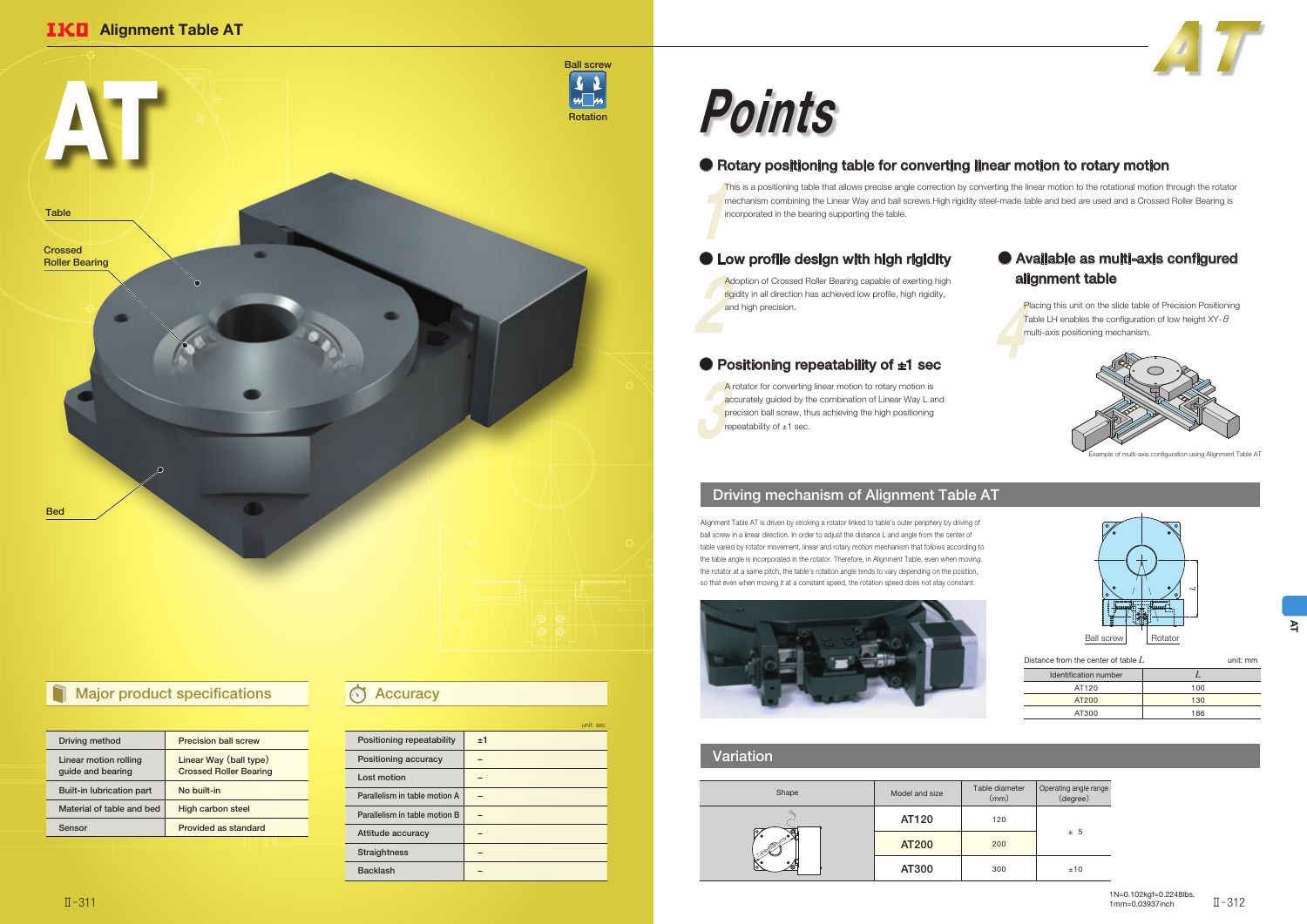### Variation

## Driving mechanism of Alignment Table AT

Example of multi-axis configuration using Alignment Table AT

| Shape | Model and size | Table diameter<br>(mm) | Operating angle range<br>(degree) |
|-------|----------------|------------------------|-----------------------------------|
| -35   | AT120          | 120                    |                                   |
| ه.    | <b>AT200</b>   | 200                    | ± 5                               |
|       | AT300          | 300                    | ±10                               |



| Distance from the center of table $L$ |     |  |  |  |  |
|---------------------------------------|-----|--|--|--|--|
| Identification number                 |     |  |  |  |  |
| AT120                                 | 100 |  |  |  |  |
| AT200                                 | 130 |  |  |  |  |
| AT300                                 | 186 |  |  |  |  |

## ● Rotary positioning table for converting linear motion to rotary motion

Pla<br>Tak<br>mu Placing this unit on the slide table of Precision Positioning Table LH enables the configuration of low height  $XY - \theta$ multi-axis positioning mechanism.



|                               |    | unit: sec |
|-------------------------------|----|-----------|
| Positioning repeatability     | ±1 |           |
| Positioning accuracy          |    |           |
| Lost motion                   |    |           |
| Parallelism in table motion A |    |           |
| Parallelism in table motion B |    |           |
| Attitude accuracy             |    |           |
| <b>Straightness</b>           |    |           |
| <b>Backlash</b>               |    |           |
|                               |    |           |

Alignment Table AT is driven by stroking a rotator linked to table's outer periphery by driving of ball screw in a linear direction. In order to adjust the distance L and angle from the center of table varied by rotator movement, linear and rotary motion mechanism that follows according to the table angle is incorporated in the rotator. Therefore, in Alignment Table, even when moving the rotator at a same pitch, the table's rotation angle tends to vary depending on the position, so that even when moving it at a constant speed, the rotation speed does not stay constant.





## Major product specifications **Accuracy**

 $\frac{1}{\pi}$ This is a positioning table that allows precise angle correction by converting the linear motion to the rotational motion through the rotator mechanism combining the Linear Way and ball screws.High rigidity steel-made table and bed are used and a Crossed Roller Bearing is incorporated in the bearing supporting the table.

## ● Low profile design with high rigidity

Address and the state of the state of the state of the state of the state of the state of the state of the state of the state of the state of the state of the state of the state of the state of the state of the state of th Adoption of Crossed Roller Bearing capable of exerting high rigidity in all direction has achieved low profile, high rigidity, and high precision.

### ● Positioning repeatability of ±1 sec

A re<br>
acc<br>
pre<br>
rep A rotator for converting linear motion to rotary motion is accurately guided by the combination of Linear Way L and precision ball screw, thus achieving the high positioning repeatability of  $\pm 1$  sec.

# Points

| Driving method                             | <b>Precision ball screw</b>                             |  |  |
|--------------------------------------------|---------------------------------------------------------|--|--|
| Linear motion rolling<br>guide and bearing | Linear Way (ball type)<br><b>Crossed Roller Bearing</b> |  |  |
| <b>Built-in lubrication part</b>           | No built-in                                             |  |  |
| Material of table and bed                  | <b>High carbon steel</b>                                |  |  |
| Sensor                                     | Provided as standard                                    |  |  |
|                                            |                                                         |  |  |

## ● Available as multi-axis configured alignment table

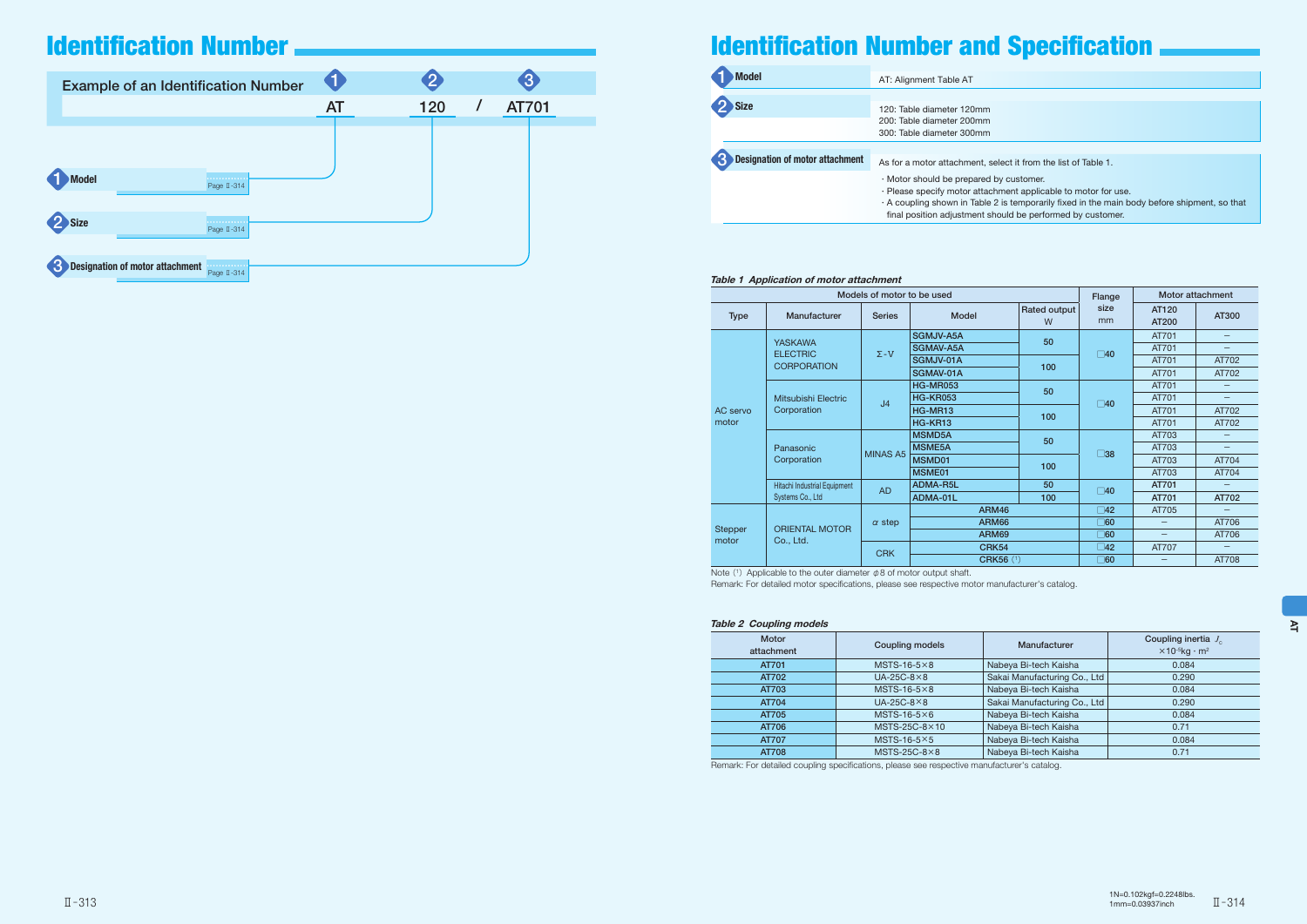### Table 1 Application of motor attachment

Note (1) Applicable to the outer diameter  $\phi$  8 of motor output shaft. Remark: For detailed motor specifications, please see respective motor manufacturer's catalog.

| Models of motor to be used |                                    |                 |                  |                   | Flange       | Motor attachment  |                          |
|----------------------------|------------------------------------|-----------------|------------------|-------------------|--------------|-------------------|--------------------------|
| <b>Type</b>                | Manufacturer                       | <b>Series</b>   | <b>Model</b>     | Rated output<br>W | size<br>mm   | AT120<br>AT200    | AT300                    |
|                            | <b>YASKAWA</b>                     |                 | SGMJV-A5A        | 50                |              | AT701             | $\overline{\phantom{0}}$ |
|                            | <b>ELECTRIC</b>                    | $\Sigma$ -V     | SGMAV-A5A        |                   | $\square$ 40 | AT701             | $\overline{\phantom{0}}$ |
|                            | <b>CORPORATION</b>                 |                 | SGMJV-01A        | 100               |              | AT701             | AT702                    |
|                            |                                    |                 | SGMAV-01A        |                   |              | AT701             | AT702                    |
| <b>AC</b> servo<br>motor   |                                    |                 | <b>HG-MR053</b>  |                   |              | AT701             | $\overline{\phantom{0}}$ |
|                            | Mitsubishi Electric<br>Corporation | J <sub>4</sub>  | <b>HG-KR053</b>  | 50                | $\square$ 40 | AT701             | $\overline{\phantom{0}}$ |
|                            |                                    |                 | HG-MR13          |                   |              | AT701             | AT702                    |
|                            |                                    |                 | HG-KR13          | 100               |              | AT701             | AT702                    |
|                            | Panasonic<br>Corporation           | <b>MINAS A5</b> | <b>MSMD5A</b>    | 50<br>100         | $\square$ 38 | AT703             | —                        |
|                            |                                    |                 | <b>MSME5A</b>    |                   |              | AT703             | $\overline{\phantom{0}}$ |
|                            |                                    |                 | MSMD01           |                   |              | AT703             | AT704                    |
|                            |                                    |                 | MSME01           |                   |              | AT703             | AT704                    |
|                            | Hitachi Industrial Equipment       |                 | ADMA-R5L         | 50                |              | AT701             |                          |
|                            | Systems Co., Ltd                   | <b>AD</b>       | ADMA-01L         | 100               | $\square$ 40 | AT701             | AT702                    |
|                            |                                    |                 | <b>ARM46</b>     |                   | $\square$ 42 | AT705             | $\overline{\phantom{0}}$ |
|                            |                                    | $\alpha$ step   | <b>ARM66</b>     |                   | $\Box$ 60    |                   | AT706                    |
| <b>Stepper</b>             | <b>ORIENTAL MOTOR</b>              |                 | ARM69            |                   | ୮।60         | $\qquad \qquad -$ | AT706                    |
| motor                      | Co., Ltd.                          |                 | <b>CRK54</b>     |                   | $\square$ 42 | AT707             | $\overline{\phantom{0}}$ |
|                            |                                    | <b>CRK</b>      | <b>CRK56 (1)</b> |                   | $\square$ 60 |                   | AT708                    |

| <b>Example of an Identification Number</b>                 |           |     |              |
|------------------------------------------------------------|-----------|-----|--------------|
|                                                            | <b>AT</b> | 120 | <b>AT701</b> |
|                                                            |           |     |              |
| <b>Model</b><br>.<br>Page II-314                           |           |     |              |
| <b>Size</b><br>.<br>Page II-314                            |           |     |              |
| <b>Designation of motor attachment</b><br>.<br>Page II-314 |           |     |              |

| <b>Model</b>                           | AT: Alignment Table AT                                                                                                              |  |  |
|----------------------------------------|-------------------------------------------------------------------------------------------------------------------------------------|--|--|
|                                        |                                                                                                                                     |  |  |
| <b>Size</b>                            | 120: Table diameter 120mm                                                                                                           |  |  |
|                                        | 200: Table diameter 200mm<br>300: Table diameter 300mm                                                                              |  |  |
|                                        |                                                                                                                                     |  |  |
| <b>Designation of motor attachment</b> | As for a motor attachment,                                                                                                          |  |  |
|                                        | $\cdot$ Motor should be prepared<br>· Please specify motor atta<br>$\cdot$ A coupling shown in Table<br>final position adjustment s |  |  |

### Table 2 Coupling models

| <b>Motor</b><br>attachment | Coupling models       | Manufacturer                 | Coupling inertia $J_c$<br>$\times$ 10 <sup>-5</sup> kg · m <sup>2</sup> |
|----------------------------|-----------------------|------------------------------|-------------------------------------------------------------------------|
| AT701                      | $MSTS-16-5\times8$    | Nabeya Bi-tech Kaisha        | 0.084                                                                   |
| AT702                      | $UA-25C-8\times8$     | Sakai Manufacturing Co., Ltd | 0.290                                                                   |
| AT703                      | MSTS-16-5 $\times$ 8  | Nabeya Bi-tech Kaisha        | 0.084                                                                   |
| AT704                      | $UA-25C-8\times8$     | Sakai Manufacturing Co., Ltd | 0.290                                                                   |
| AT705                      | $MSTS-16-5\times 6$   | Nabeya Bi-tech Kaisha        | 0.084                                                                   |
| AT706                      | $MSTS-25C-8\times10$  | Nabeya Bi-tech Kaisha        | 0.71                                                                    |
| AT707                      | MSTS-16-5 $\times$ 5  | Nabeya Bi-tech Kaisha        | 0.084                                                                   |
| <b>AT708</b>               | MSTS-25C-8 $\times$ 8 | Nabeya Bi-tech Kaisha        | 0.71                                                                    |
|                            |                       |                              |                                                                         |

Remark: For detailed coupling specifications, please see respective manufacturer's catalog.

- 
- 

select it from the list of Table 1.

ed by customer.

tachment applicable to motor for use.

ble 2 is temporarily fixed in the main body before shipment, so that t should be performed by customer.

## Identification Number

## Identification Number and Specification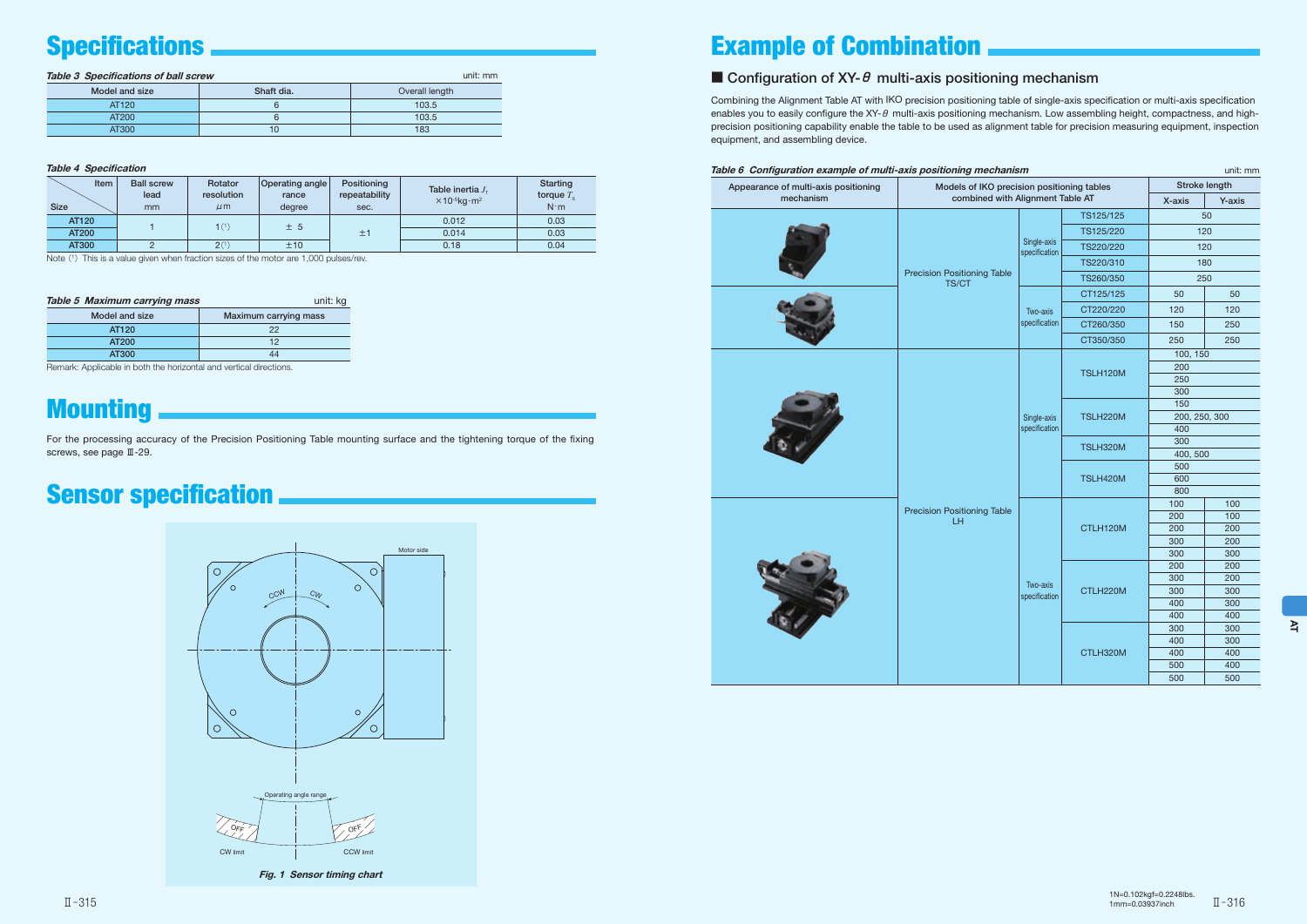### Table 3 Specifications of ball screw unit: mm and the street of the street of the street of the street of the street of the street of the street of the street of the street of the street of the street of the street of the

Combining the Alignment Table AT with IKO precision positioning table of single-axis specification or multi-axis specification enables you to easily configure the XY- $\theta$  multi-axis positioning mechanism. Low assembling height, compactness, and highprecision positioning capability enable the table to be used as alignment table for precision measuring equipment, inspection equipment, and assembling device.

| Appearance of multi-axis positioning | Models of IKO precision positioning tables  |                              |                 |               | Stroke length |
|--------------------------------------|---------------------------------------------|------------------------------|-----------------|---------------|---------------|
| mechanism                            | combined with Alignment Table AT            |                              |                 | X-axis        | Y-axis        |
|                                      |                                             |                              | TS125/125       | 50            |               |
|                                      |                                             |                              | TS125/220       |               | 120           |
|                                      |                                             | Single-axis<br>specification | TS220/220       |               | 120           |
|                                      |                                             |                              | TS220/310       |               | 180           |
|                                      | <b>Precision Positioning Table</b><br>TS/CT |                              | TS260/350       |               | 250           |
|                                      |                                             |                              | CT125/125       | 50            | 50            |
|                                      |                                             | Two-axis                     | CT220/220       | 120           | 120           |
|                                      |                                             | specification                | CT260/350       | 150           | 250           |
|                                      |                                             |                              | CT350/350       | 250           | 250           |
|                                      |                                             |                              |                 | 100, 150      |               |
|                                      |                                             |                              | <b>TSLH120M</b> | 200           |               |
|                                      |                                             |                              |                 | 250<br>300    |               |
|                                      |                                             | Single-axis<br>specification | <b>TSLH220M</b> | 150           |               |
|                                      |                                             |                              |                 | 200, 250, 300 |               |
|                                      |                                             |                              |                 | 400           |               |
|                                      |                                             |                              | TSLH320M        | 300           |               |
|                                      |                                             |                              |                 | 400, 500      |               |
|                                      |                                             |                              | <b>TSLH420M</b> | 500<br>600    |               |
|                                      |                                             |                              |                 | 800           |               |
|                                      | <b>Precision Positioning Table</b>          |                              |                 | 100           | 100           |
|                                      | LH.                                         |                              |                 | 200           | 100           |
|                                      |                                             |                              | CTLH120M        | 200           | 200           |
|                                      |                                             |                              |                 | 300<br>300    | 200<br>300    |
|                                      |                                             |                              |                 | 200           | 200           |
|                                      |                                             |                              |                 | 300           | 200           |
|                                      |                                             | Two-axis<br>specification    | CTLH220M        | 300           | 300           |
|                                      |                                             |                              |                 | 400           | 300           |
|                                      |                                             |                              |                 | 400           | 400           |
|                                      |                                             |                              |                 | 300           | 300           |
|                                      |                                             |                              |                 | 400           | 300           |
|                                      |                                             |                              | CTLH320M        | 400           | 400           |
|                                      |                                             |                              |                 | 500           | 400           |
|                                      |                                             |                              |                 | 500           | 500           |

### Table 4 Specification

| Item<br><b>Size</b> | <b>Ball screw</b><br>lead<br>mm | Rotator<br>resolution<br>$\mu$ m | <b>Operating angle</b><br>rance<br>degree | Positioning<br>repeatability<br>sec. | Table inertia J.<br>$\times$ 10- <sup>5</sup> kg·m <sup>2</sup> | <b>Starting</b><br>torque $T_e$<br>$N \cdot m$ |  |  |  |    |       |      |
|---------------------|---------------------------------|----------------------------------|-------------------------------------------|--------------------------------------|-----------------------------------------------------------------|------------------------------------------------|--|--|--|----|-------|------|
| AT120               |                                 | 1 <sup>(1)</sup>                 | ± 5                                       |                                      | 0.012                                                           | 0.03                                           |  |  |  |    |       |      |
| <b>AT200</b>        |                                 |                                  |                                           |                                      |                                                                 |                                                |  |  |  | ±1 | 0.014 | 0.03 |
| AT300               |                                 | $2^{(1)}$                        | ±10                                       |                                      | 0.18                                                            | 0.04                                           |  |  |  |    |       |      |

Note  $(1)$  This is a value given when fraction sizes of the motor are 1,000 pulses/rev.

| Model and size | Shaft dia. | Overall length |
|----------------|------------|----------------|
| AT120          |            | 103.5          |
| AT200          |            | 103.5          |
| AT300          | 10         | 183            |



## Specifications **Example of Combination**

### Configuration of XY- $\theta$  multi-axis positioning mechanism

## Sensor specification

| Table 5 Maximum carrying mass | unit: kg              |
|-------------------------------|-----------------------|
| Model and size                | Maximum carrying mass |
| AT120                         | 22                    |
| AT200                         | 12                    |
| AT300                         | ΔΔ                    |

Remark: Applicable in both the horizontal and vertical directions.

## **Mounting**

For the processing accuracy of the Precision Positioning Table mounting surface and the tightening torque of the fixing screws, see page Ⅲ-29.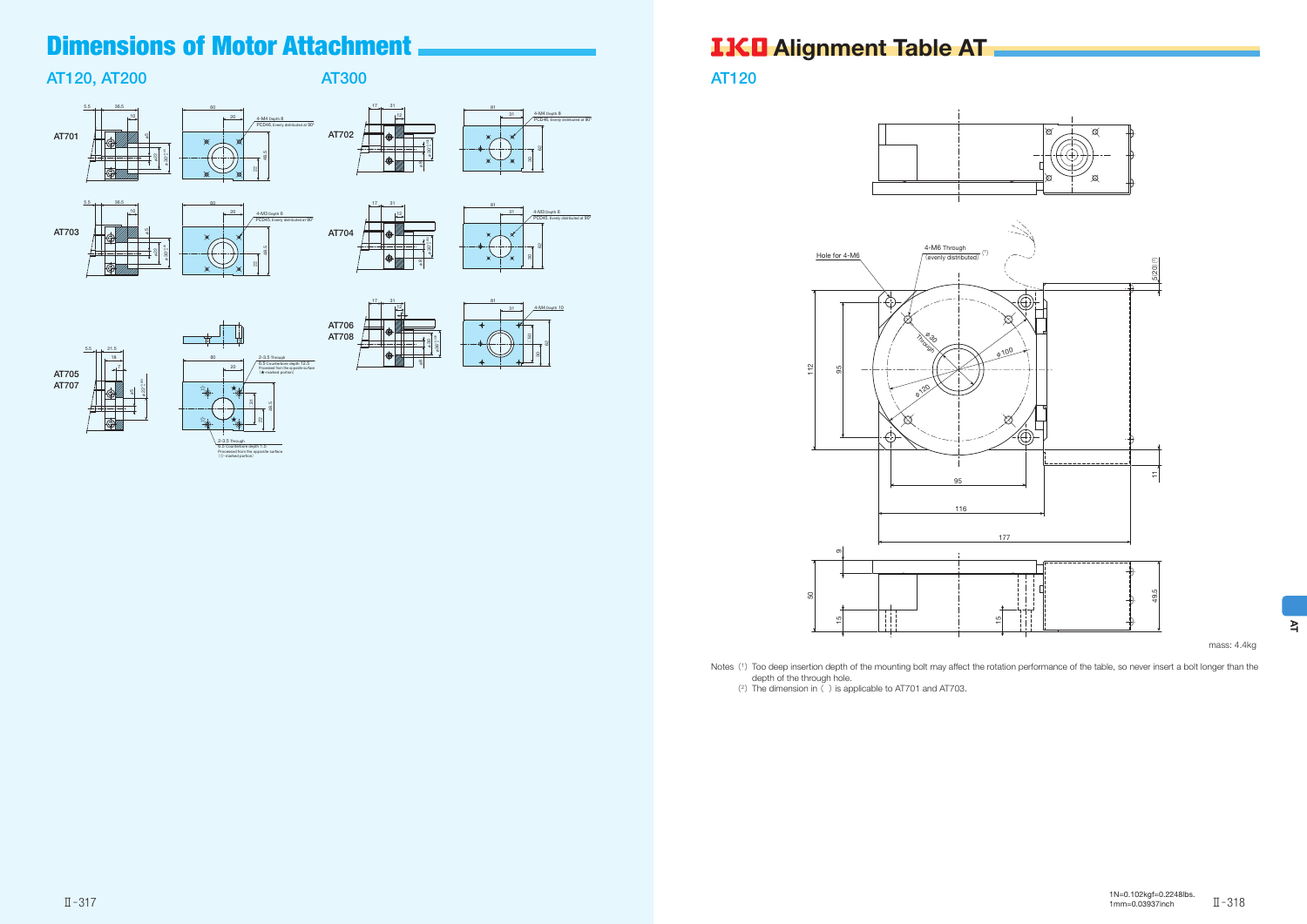AT120

mass: 4.4kg



Notes (1) Too deep insertion depth of the mounting bolt may affect the rotation performance of the table, so never insert a bolt longer than the depth of the through hole.<br>
(2) The dimension in ( ) is applicable to AT701 and AT703.







## AT120, AT200

4-M4 Depth 8 PCD46, Evenly distributed at 90°





48.5



6.5 Counterbore depth 1.5 Processed from the opposite surface (☆-marked portion)

## AT300

 $\frac{1}{2}$ <sub>D1</sub> of  $\frac{1}{2}$ 

AT704



 $17_{\text{cm}}$  31



81

φ8

- 1

**∞** 





12

12

4-M4 Depth 10

8



## Dimensions of Motor Attachment